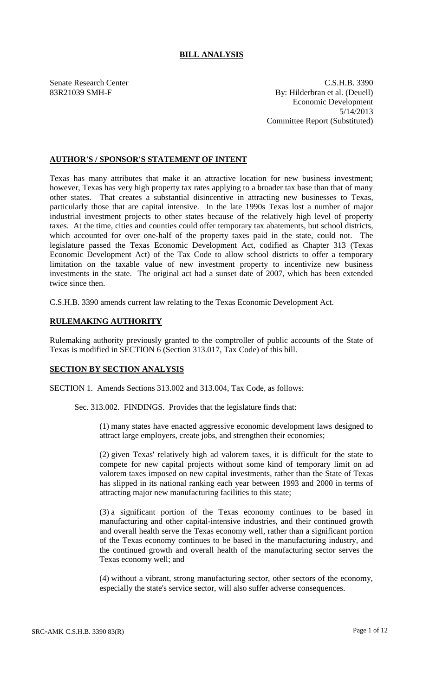# **BILL ANALYSIS**

Senate Research Center C.S.H.B. 3390 83R21039 SMH-F By: Hilderbran et al. (Deuell) Economic Development 5/14/2013 Committee Report (Substituted)

# **AUTHOR'S / SPONSOR'S STATEMENT OF INTENT**

Texas has many attributes that make it an attractive location for new business investment; however, Texas has very high property tax rates applying to a broader tax base than that of many other states. That creates a substantial disincentive in attracting new businesses to Texas, particularly those that are capital intensive. In the late 1990s Texas lost a number of major industrial investment projects to other states because of the relatively high level of property taxes. At the time, cities and counties could offer temporary tax abatements, but school districts, which accounted for over one-half of the property taxes paid in the state, could not. The legislature passed the Texas Economic Development Act, codified as Chapter 313 (Texas Economic Development Act) of the Tax Code to allow school districts to offer a temporary limitation on the taxable value of new investment property to incentivize new business investments in the state. The original act had a sunset date of 2007, which has been extended twice since then.

C.S.H.B. 3390 amends current law relating to the Texas Economic Development Act.

## **RULEMAKING AUTHORITY**

Rulemaking authority previously granted to the comptroller of public accounts of the State of Texas is modified in SECTION 6 (Section 313.017, Tax Code) of this bill.

## **SECTION BY SECTION ANALYSIS**

SECTION 1. Amends Sections 313.002 and 313.004, Tax Code, as follows:

Sec. 313.002. FINDINGS. Provides that the legislature finds that:

(1) many states have enacted aggressive economic development laws designed to attract large employers, create jobs, and strengthen their economies;

(2) given Texas' relatively high ad valorem taxes, it is difficult for the state to compete for new capital projects without some kind of temporary limit on ad valorem taxes imposed on new capital investments, rather than the State of Texas has slipped in its national ranking each year between 1993 and 2000 in terms of attracting major new manufacturing facilities to this state;

(3) a significant portion of the Texas economy continues to be based in manufacturing and other capital-intensive industries, and their continued growth and overall health serve the Texas economy well, rather than a significant portion of the Texas economy continues to be based in the manufacturing industry, and the continued growth and overall health of the manufacturing sector serves the Texas economy well; and

(4) without a vibrant, strong manufacturing sector, other sectors of the economy, especially the state's service sector, will also suffer adverse consequences.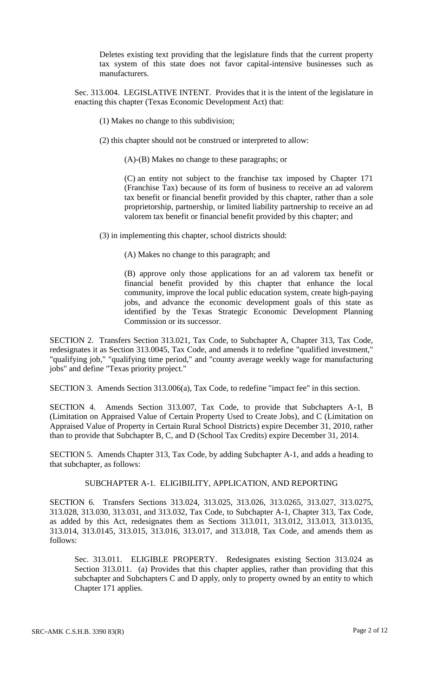Deletes existing text providing that the legislature finds that the current property tax system of this state does not favor capital-intensive businesses such as manufacturers.

Sec. 313.004. LEGISLATIVE INTENT. Provides that it is the intent of the legislature in enacting this chapter (Texas Economic Development Act) that:

- (1) Makes no change to this subdivision;
- (2) this chapter should not be construed or interpreted to allow:

(A)-(B) Makes no change to these paragraphs; or

(C) an entity not subject to the franchise tax imposed by Chapter 171 (Franchise Tax) because of its form of business to receive an ad valorem tax benefit or financial benefit provided by this chapter, rather than a sole proprietorship, partnership, or limited liability partnership to receive an ad valorem tax benefit or financial benefit provided by this chapter; and

(3) in implementing this chapter, school districts should:

(A) Makes no change to this paragraph; and

(B) approve only those applications for an ad valorem tax benefit or financial benefit provided by this chapter that enhance the local community, improve the local public education system, create high-paying jobs, and advance the economic development goals of this state as identified by the Texas Strategic Economic Development Planning Commission or its successor.

SECTION 2. Transfers Section 313.021, Tax Code, to Subchapter A, Chapter 313, Tax Code, redesignates it as Section 313.0045, Tax Code, and amends it to redefine "qualified investment," "qualifying job," "qualifying time period," and "county average weekly wage for manufacturing jobs" and define "Texas priority project."

SECTION 3. Amends Section 313.006(a), Tax Code, to redefine "impact fee" in this section.

SECTION 4. Amends Section 313.007, Tax Code, to provide that Subchapters A-1, B (Limitation on Appraised Value of Certain Property Used to Create Jobs), and C (Limitation on Appraised Value of Property in Certain Rural School Districts) expire December 31, 2010, rather than to provide that Subchapter B, C, and D (School Tax Credits) expire December 31, 2014.

SECTION 5. Amends Chapter 313, Tax Code, by adding Subchapter A-1, and adds a heading to that subchapter, as follows:

#### SUBCHAPTER A-1. ELIGIBILITY, APPLICATION, AND REPORTING

SECTION 6. Transfers Sections 313.024, 313.025, 313.026, 313.0265, 313.027, 313.0275, 313.028, 313.030, 313.031, and 313.032, Tax Code, to Subchapter A-1, Chapter 313, Tax Code, as added by this Act, redesignates them as Sections 313.011, 313.012, 313.013, 313.0135, 313.014, 313.0145, 313.015, 313.016, 313.017, and 313.018, Tax Code, and amends them as follows:

Sec. 313.011. ELIGIBLE PROPERTY. Redesignates existing Section 313.024 as Section 313.011. (a) Provides that this chapter applies, rather than providing that this subchapter and Subchapters C and D apply, only to property owned by an entity to which Chapter 171 applies.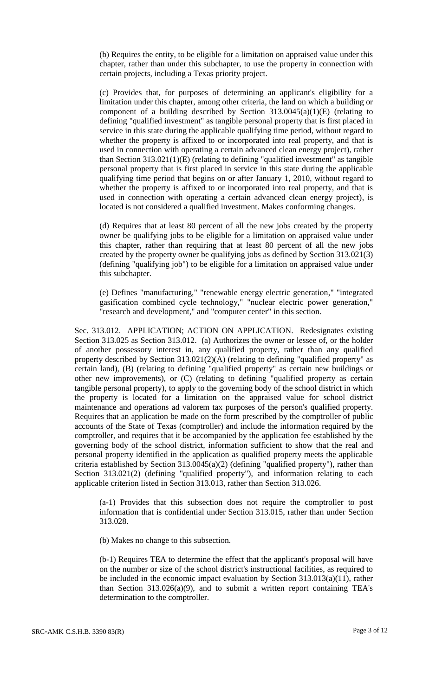(b) Requires the entity, to be eligible for a limitation on appraised value under this chapter, rather than under this subchapter, to use the property in connection with certain projects, including a Texas priority project.

(c) Provides that, for purposes of determining an applicant's eligibility for a limitation under this chapter, among other criteria, the land on which a building or component of a building described by Section 313.0045(a)(1)(E) (relating to defining "qualified investment" as tangible personal property that is first placed in service in this state during the applicable qualifying time period, without regard to whether the property is affixed to or incorporated into real property, and that is used in connection with operating a certain advanced clean energy project), rather than Section 313.021(1)(E) (relating to defining "qualified investment" as tangible personal property that is first placed in service in this state during the applicable qualifying time period that begins on or after January 1, 2010, without regard to whether the property is affixed to or incorporated into real property, and that is used in connection with operating a certain advanced clean energy project), is located is not considered a qualified investment. Makes conforming changes.

(d) Requires that at least 80 percent of all the new jobs created by the property owner be qualifying jobs to be eligible for a limitation on appraised value under this chapter, rather than requiring that at least 80 percent of all the new jobs created by the property owner be qualifying jobs as defined by Section 313.021(3) (defining "qualifying job") to be eligible for a limitation on appraised value under this subchapter.

(e) Defines "manufacturing," "renewable energy electric generation," "integrated gasification combined cycle technology," "nuclear electric power generation," "research and development," and "computer center" in this section.

Sec. 313.012. APPLICATION; ACTION ON APPLICATION. Redesignates existing Section 313.025 as Section 313.012. (a) Authorizes the owner or lessee of, or the holder of another possessory interest in, any qualified property, rather than any qualified property described by Section 313.021(2)(A) (relating to defining "qualified property" as certain land), (B) (relating to defining "qualified property" as certain new buildings or other new improvements), or (C) (relating to defining "qualified property as certain tangible personal property), to apply to the governing body of the school district in which the property is located for a limitation on the appraised value for school district maintenance and operations ad valorem tax purposes of the person's qualified property. Requires that an application be made on the form prescribed by the comptroller of public accounts of the State of Texas (comptroller) and include the information required by the comptroller, and requires that it be accompanied by the application fee established by the governing body of the school district, information sufficient to show that the real and personal property identified in the application as qualified property meets the applicable criteria established by Section  $313.0045(a)(2)$  (defining "qualified property"), rather than Section 313.021(2) (defining "qualified property"), and information relating to each applicable criterion listed in Section 313.013, rather than Section 313.026.

(a-1) Provides that this subsection does not require the comptroller to post information that is confidential under Section 313.015, rather than under Section 313.028.

(b) Makes no change to this subsection.

(b-1) Requires TEA to determine the effect that the applicant's proposal will have on the number or size of the school district's instructional facilities, as required to be included in the economic impact evaluation by Section 313.013(a)(11), rather than Section  $313.026(a)(9)$ , and to submit a written report containing TEA's determination to the comptroller.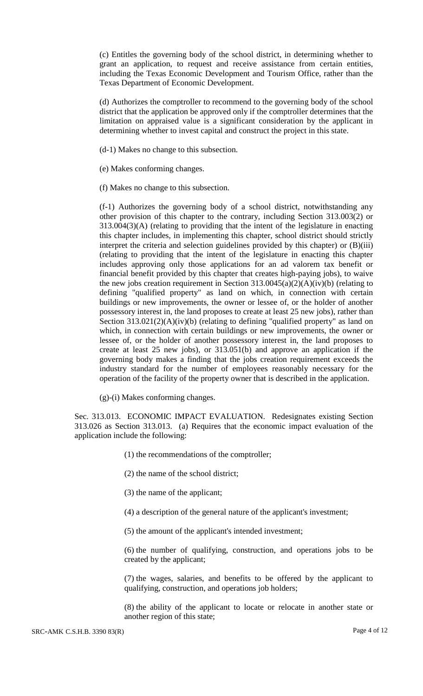(c) Entitles the governing body of the school district, in determining whether to grant an application, to request and receive assistance from certain entities, including the Texas Economic Development and Tourism Office, rather than the Texas Department of Economic Development.

(d) Authorizes the comptroller to recommend to the governing body of the school district that the application be approved only if the comptroller determines that the limitation on appraised value is a significant consideration by the applicant in determining whether to invest capital and construct the project in this state.

- (d-1) Makes no change to this subsection.
- (e) Makes conforming changes.
- (f) Makes no change to this subsection.

(f-1) Authorizes the governing body of a school district, notwithstanding any other provision of this chapter to the contrary, including Section 313.003(2) or 313.004(3)(A) (relating to providing that the intent of the legislature in enacting this chapter includes, in implementing this chapter, school district should strictly interpret the criteria and selection guidelines provided by this chapter) or (B)(iii) (relating to providing that the intent of the legislature in enacting this chapter includes approving only those applications for an ad valorem tax benefit or financial benefit provided by this chapter that creates high-paying jobs), to waive the new jobs creation requirement in Section  $313.0045(a)(2)(A)(iv)(b)$  (relating to defining "qualified property" as land on which, in connection with certain buildings or new improvements, the owner or lessee of, or the holder of another possessory interest in, the land proposes to create at least 25 new jobs), rather than Section  $313.021(2)(A)(iv)(b)$  (relating to defining "qualified property" as land on which, in connection with certain buildings or new improvements, the owner or lessee of, or the holder of another possessory interest in, the land proposes to create at least 25 new jobs), or 313.051(b) and approve an application if the governing body makes a finding that the jobs creation requirement exceeds the industry standard for the number of employees reasonably necessary for the operation of the facility of the property owner that is described in the application.

(g)-(i) Makes conforming changes.

Sec. 313.013. ECONOMIC IMPACT EVALUATION. Redesignates existing Section 313.026 as Section 313.013. (a) Requires that the economic impact evaluation of the application include the following:

- (1) the recommendations of the comptroller;
- (2) the name of the school district;
- (3) the name of the applicant;
- (4) a description of the general nature of the applicant's investment;
- (5) the amount of the applicant's intended investment;

(6) the number of qualifying, construction, and operations jobs to be created by the applicant;

(7) the wages, salaries, and benefits to be offered by the applicant to qualifying, construction, and operations job holders;

(8) the ability of the applicant to locate or relocate in another state or another region of this state;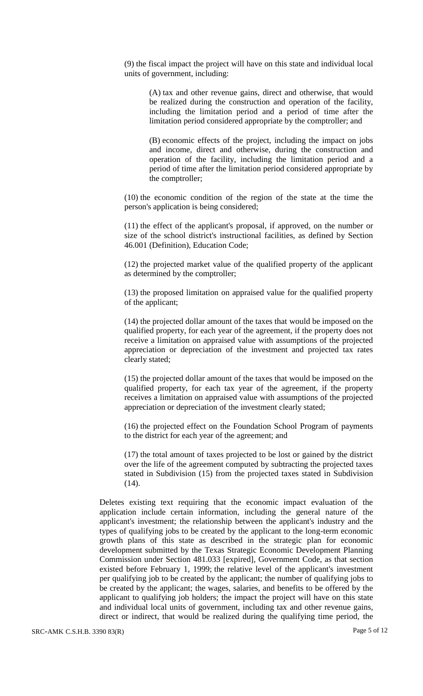(9) the fiscal impact the project will have on this state and individual local units of government, including:

> (A) tax and other revenue gains, direct and otherwise, that would be realized during the construction and operation of the facility, including the limitation period and a period of time after the limitation period considered appropriate by the comptroller; and

> (B) economic effects of the project, including the impact on jobs and income, direct and otherwise, during the construction and operation of the facility, including the limitation period and a period of time after the limitation period considered appropriate by the comptroller;

(10) the economic condition of the region of the state at the time the person's application is being considered;

(11) the effect of the applicant's proposal, if approved, on the number or size of the school district's instructional facilities, as defined by Section 46.001 (Definition), Education Code;

(12) the projected market value of the qualified property of the applicant as determined by the comptroller;

(13) the proposed limitation on appraised value for the qualified property of the applicant;

(14) the projected dollar amount of the taxes that would be imposed on the qualified property, for each year of the agreement, if the property does not receive a limitation on appraised value with assumptions of the projected appreciation or depreciation of the investment and projected tax rates clearly stated;

(15) the projected dollar amount of the taxes that would be imposed on the qualified property, for each tax year of the agreement, if the property receives a limitation on appraised value with assumptions of the projected appreciation or depreciation of the investment clearly stated;

(16) the projected effect on the Foundation School Program of payments to the district for each year of the agreement; and

(17) the total amount of taxes projected to be lost or gained by the district over the life of the agreement computed by subtracting the projected taxes stated in Subdivision (15) from the projected taxes stated in Subdivision  $(14)$ .

Deletes existing text requiring that the economic impact evaluation of the application include certain information, including the general nature of the applicant's investment; the relationship between the applicant's industry and the types of qualifying jobs to be created by the applicant to the long-term economic growth plans of this state as described in the strategic plan for economic development submitted by the Texas Strategic Economic Development Planning Commission under Section 481.033 [expired], Government Code, as that section existed before February 1, 1999; the relative level of the applicant's investment per qualifying job to be created by the applicant; the number of qualifying jobs to be created by the applicant; the wages, salaries, and benefits to be offered by the applicant to qualifying job holders; the impact the project will have on this state and individual local units of government, including tax and other revenue gains, direct or indirect, that would be realized during the qualifying time period, the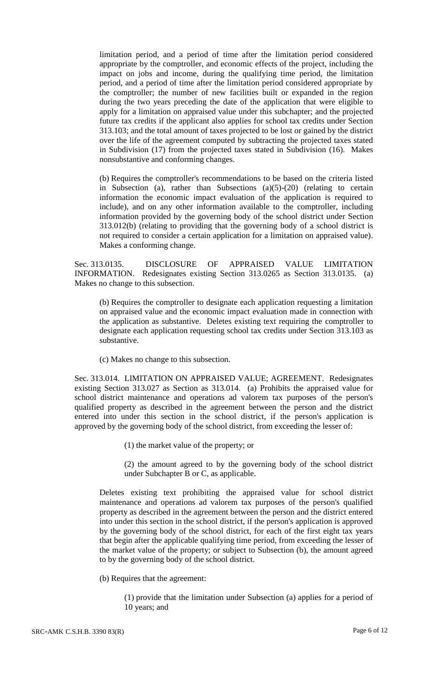limitation period, and a period of time after the limitation period considered appropriate by the comptroller, and economic effects of the project, including the impact on jobs and income, during the qualifying time period, the limitation period, and a period of time after the limitation period considered appropriate by the comptroller; the number of new facilities built or expanded in the region during the two years preceding the date of the application that were eligible to apply for a limitation on appraised value under this subchapter; and the projected future tax credits if the applicant also applies for school tax credits under Section 313.103; and the total amount of taxes projected to be lost or gained by the district over the life of the agreement computed by subtracting the projected taxes stated in Subdivision (17) from the projected taxes stated in Subdivision (16). Makes nonsubstantive and conforming changes.

(b) Requires the comptroller's recommendations to be based on the criteria listed in Subsection (a), rather than Subsections  $(a)(5)-(20)$  (relating to certain information the economic impact evaluation of the application is required to include), and on any other information available to the comptroller, including information provided by the governing body of the school district under Section 313.012(b) (relating to providing that the governing body of a school district is not required to consider a certain application for a limitation on appraised value). Makes a conforming change.

Sec. 313.0135. DISCLOSURE OF APPRAISED VALUE LIMITATION INFORMATION. Redesignates existing Section 313.0265 as Section 313.0135. (a) Makes no change to this subsection.

(b) Requires the comptroller to designate each application requesting a limitation on appraised value and the economic impact evaluation made in connection with the application as substantive. Deletes existing text requiring the comptroller to designate each application requesting school tax credits under Section 313.103 as substantive.

(c) Makes no change to this subsection.

Sec. 313.014. LIMITATION ON APPRAISED VALUE; AGREEMENT. Redesignates existing Section 313.027 as Section as 313.014. (a) Prohibits the appraised value for school district maintenance and operations ad valorem tax purposes of the person's qualified property as described in the agreement between the person and the district entered into under this section in the school district, if the person's application is approved by the governing body of the school district, from exceeding the lesser of:

(1) the market value of the property; or

(2) the amount agreed to by the governing body of the school district under Subchapter B or C, as applicable.

Deletes existing text prohibiting the appraised value for school district maintenance and operations ad valorem tax purposes of the person's qualified property as described in the agreement between the person and the district entered into under this section in the school district, if the person's application is approved by the governing body of the school district, for each of the first eight tax years that begin after the applicable qualifying time period, from exceeding the lesser of the market value of the property; or subject to Subsection (b), the amount agreed to by the governing body of the school district.

(b) Requires that the agreement:

(1) provide that the limitation under Subsection (a) applies for a period of 10 years; and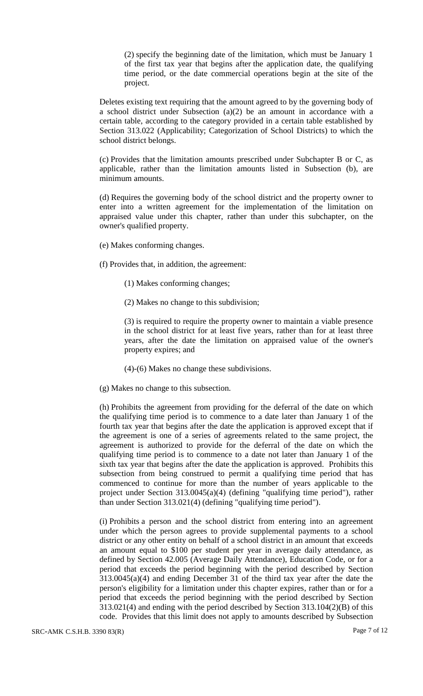(2) specify the beginning date of the limitation, which must be January 1 of the first tax year that begins after the application date, the qualifying time period, or the date commercial operations begin at the site of the project.

Deletes existing text requiring that the amount agreed to by the governing body of a school district under Subsection (a)(2) be an amount in accordance with a certain table, according to the category provided in a certain table established by Section 313.022 (Applicability; Categorization of School Districts) to which the school district belongs.

(c) Provides that the limitation amounts prescribed under Subchapter B or C, as applicable, rather than the limitation amounts listed in Subsection (b), are minimum amounts.

(d) Requires the governing body of the school district and the property owner to enter into a written agreement for the implementation of the limitation on appraised value under this chapter, rather than under this subchapter, on the owner's qualified property.

- (e) Makes conforming changes.
- (f) Provides that, in addition, the agreement:
	- (1) Makes conforming changes;
	- (2) Makes no change to this subdivision;

(3) is required to require the property owner to maintain a viable presence in the school district for at least five years, rather than for at least three years, after the date the limitation on appraised value of the owner's property expires; and

- (4)-(6) Makes no change these subdivisions.
- (g) Makes no change to this subsection.

(h) Prohibits the agreement from providing for the deferral of the date on which the qualifying time period is to commence to a date later than January 1 of the fourth tax year that begins after the date the application is approved except that if the agreement is one of a series of agreements related to the same project, the agreement is authorized to provide for the deferral of the date on which the qualifying time period is to commence to a date not later than January 1 of the sixth tax year that begins after the date the application is approved. Prohibits this subsection from being construed to permit a qualifying time period that has commenced to continue for more than the number of years applicable to the project under Section 313.0045(a)(4) (defining "qualifying time period"), rather than under Section 313.021(4) (defining "qualifying time period").

(i) Prohibits a person and the school district from entering into an agreement under which the person agrees to provide supplemental payments to a school district or any other entity on behalf of a school district in an amount that exceeds an amount equal to \$100 per student per year in average daily attendance, as defined by Section 42.005 (Average Daily Attendance), Education Code, or for a period that exceeds the period beginning with the period described by Section 313.0045(a)(4) and ending December 31 of the third tax year after the date the person's eligibility for a limitation under this chapter expires, rather than or for a period that exceeds the period beginning with the period described by Section 313.021(4) and ending with the period described by Section 313.104(2)(B) of this code. Provides that this limit does not apply to amounts described by Subsection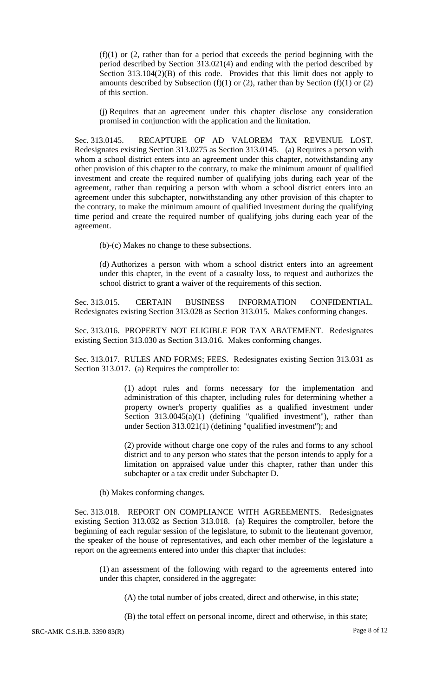$(f)(1)$  or  $(2,$  rather than for a period that exceeds the period beginning with the period described by Section 313.021(4) and ending with the period described by Section 313.104(2)(B) of this code. Provides that this limit does not apply to amounts described by Subsection (f)(1) or (2), rather than by Section (f)(1) or (2) of this section.

(j) Requires that an agreement under this chapter disclose any consideration promised in conjunction with the application and the limitation.

Sec. 313.0145. RECAPTURE OF AD VALOREM TAX REVENUE LOST. Redesignates existing Section 313.0275 as Section 313.0145. (a) Requires a person with whom a school district enters into an agreement under this chapter, notwithstanding any other provision of this chapter to the contrary, to make the minimum amount of qualified investment and create the required number of qualifying jobs during each year of the agreement, rather than requiring a person with whom a school district enters into an agreement under this subchapter, notwithstanding any other provision of this chapter to the contrary, to make the minimum amount of qualified investment during the qualifying time period and create the required number of qualifying jobs during each year of the agreement.

(b)-(c) Makes no change to these subsections.

(d) Authorizes a person with whom a school district enters into an agreement under this chapter, in the event of a casualty loss, to request and authorizes the school district to grant a waiver of the requirements of this section.

Sec. 313.015. CERTAIN BUSINESS INFORMATION CONFIDENTIAL. Redesignates existing Section 313.028 as Section 313.015. Makes conforming changes.

Sec. 313.016. PROPERTY NOT ELIGIBLE FOR TAX ABATEMENT. Redesignates existing Section 313.030 as Section 313.016. Makes conforming changes.

Sec. 313.017. RULES AND FORMS; FEES. Redesignates existing Section 313.031 as Section 313.017. (a) Requires the comptroller to:

> (1) adopt rules and forms necessary for the implementation and administration of this chapter, including rules for determining whether a property owner's property qualifies as a qualified investment under Section 313.0045(a)(1) (defining "qualified investment"), rather than under Section 313.021(1) (defining "qualified investment"); and

> (2) provide without charge one copy of the rules and forms to any school district and to any person who states that the person intends to apply for a limitation on appraised value under this chapter, rather than under this subchapter or a tax credit under Subchapter D.

(b) Makes conforming changes.

Sec. 313.018. REPORT ON COMPLIANCE WITH AGREEMENTS. Redesignates existing Section 313.032 as Section 313.018. (a) Requires the comptroller, before the beginning of each regular session of the legislature, to submit to the lieutenant governor, the speaker of the house of representatives, and each other member of the legislature a report on the agreements entered into under this chapter that includes:

(1) an assessment of the following with regard to the agreements entered into under this chapter, considered in the aggregate:

(A) the total number of jobs created, direct and otherwise, in this state;

(B) the total effect on personal income, direct and otherwise, in this state;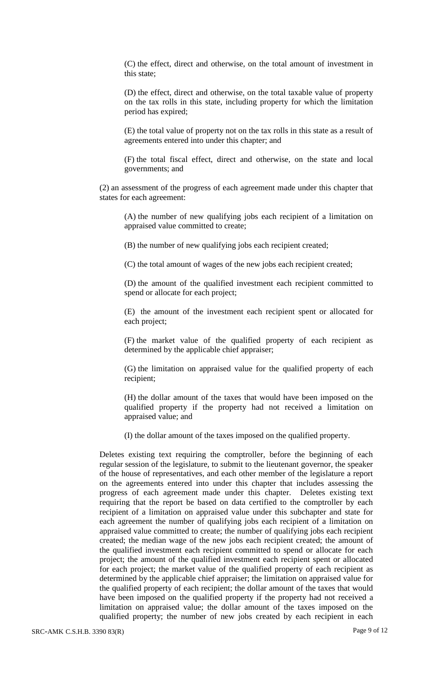(C) the effect, direct and otherwise, on the total amount of investment in this state;

(D) the effect, direct and otherwise, on the total taxable value of property on the tax rolls in this state, including property for which the limitation period has expired;

(E) the total value of property not on the tax rolls in this state as a result of agreements entered into under this chapter; and

(F) the total fiscal effect, direct and otherwise, on the state and local governments; and

(2) an assessment of the progress of each agreement made under this chapter that states for each agreement:

(A) the number of new qualifying jobs each recipient of a limitation on appraised value committed to create;

(B) the number of new qualifying jobs each recipient created;

(C) the total amount of wages of the new jobs each recipient created;

(D) the amount of the qualified investment each recipient committed to spend or allocate for each project;

(E) the amount of the investment each recipient spent or allocated for each project;

(F) the market value of the qualified property of each recipient as determined by the applicable chief appraiser;

(G) the limitation on appraised value for the qualified property of each recipient;

(H) the dollar amount of the taxes that would have been imposed on the qualified property if the property had not received a limitation on appraised value; and

(I) the dollar amount of the taxes imposed on the qualified property.

Deletes existing text requiring the comptroller, before the beginning of each regular session of the legislature, to submit to the lieutenant governor, the speaker of the house of representatives, and each other member of the legislature a report on the agreements entered into under this chapter that includes assessing the progress of each agreement made under this chapter. Deletes existing text requiring that the report be based on data certified to the comptroller by each recipient of a limitation on appraised value under this subchapter and state for each agreement the number of qualifying jobs each recipient of a limitation on appraised value committed to create; the number of qualifying jobs each recipient created; the median wage of the new jobs each recipient created; the amount of the qualified investment each recipient committed to spend or allocate for each project; the amount of the qualified investment each recipient spent or allocated for each project; the market value of the qualified property of each recipient as determined by the applicable chief appraiser; the limitation on appraised value for the qualified property of each recipient; the dollar amount of the taxes that would have been imposed on the qualified property if the property had not received a limitation on appraised value; the dollar amount of the taxes imposed on the qualified property; the number of new jobs created by each recipient in each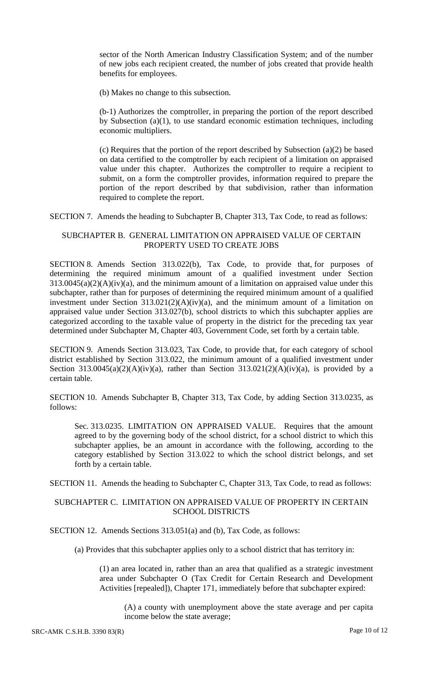sector of the North American Industry Classification System; and of the number of new jobs each recipient created, the number of jobs created that provide health benefits for employees.

(b) Makes no change to this subsection.

(b-1) Authorizes the comptroller, in preparing the portion of the report described by Subsection (a)(1), to use standard economic estimation techniques, including economic multipliers.

(c) Requires that the portion of the report described by Subsection (a)(2) be based on data certified to the comptroller by each recipient of a limitation on appraised value under this chapter. Authorizes the comptroller to require a recipient to submit, on a form the comptroller provides, information required to prepare the portion of the report described by that subdivision, rather than information required to complete the report.

SECTION 7. Amends the heading to Subchapter B, Chapter 313, Tax Code, to read as follows:

### SUBCHAPTER B. GENERAL LIMITATION ON APPRAISED VALUE OF CERTAIN PROPERTY USED TO CREATE JOBS

SECTION 8. Amends Section 313.022(b), Tax Code, to provide that, for purposes of determining the required minimum amount of a qualified investment under Section  $313.0045(a)(2)(A)(iv)(a)$ , and the minimum amount of a limitation on appraised value under this subchapter, rather than for purposes of determining the required minimum amount of a qualified investment under Section  $313.021(2)(A)(iv)(a)$ , and the minimum amount of a limitation on appraised value under Section 313.027(b), school districts to which this subchapter applies are categorized according to the taxable value of property in the district for the preceding tax year determined under Subchapter M, Chapter 403, Government Code, set forth by a certain table.

SECTION 9. Amends Section 313.023, Tax Code, to provide that, for each category of school district established by Section 313.022, the minimum amount of a qualified investment under Section 313.0045(a)(2)(A)(iv)(a), rather than Section 313.021(2)(A)(iv)(a), is provided by a certain table.

SECTION 10. Amends Subchapter B, Chapter 313, Tax Code, by adding Section 313.0235, as follows:

Sec. 313.0235. LIMITATION ON APPRAISED VALUE. Requires that the amount agreed to by the governing body of the school district, for a school district to which this subchapter applies, be an amount in accordance with the following, according to the category established by Section 313.022 to which the school district belongs, and set forth by a certain table.

SECTION 11. Amends the heading to Subchapter C, Chapter 313, Tax Code, to read as follows:

## SUBCHAPTER C. LIMITATION ON APPRAISED VALUE OF PROPERTY IN CERTAIN SCHOOL DISTRICTS

SECTION 12. Amends Sections 313.051(a) and (b), Tax Code, as follows:

(a) Provides that this subchapter applies only to a school district that has territory in:

(1) an area located in, rather than an area that qualified as a strategic investment area under Subchapter O (Tax Credit for Certain Research and Development Activities [repealed]), Chapter 171, immediately before that subchapter expired:

(A) a county with unemployment above the state average and per capita income below the state average;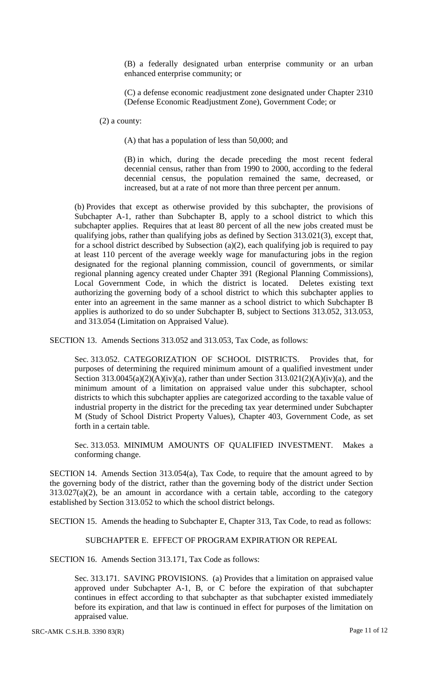(B) a federally designated urban enterprise community or an urban enhanced enterprise community; or

(C) a defense economic readjustment zone designated under Chapter 2310 (Defense Economic Readjustment Zone), Government Code; or

(2) a county:

(A) that has a population of less than 50,000; and

(B) in which, during the decade preceding the most recent federal decennial census, rather than from 1990 to 2000, according to the federal decennial census, the population remained the same, decreased, or increased, but at a rate of not more than three percent per annum.

(b) Provides that except as otherwise provided by this subchapter, the provisions of Subchapter A-1, rather than Subchapter B, apply to a school district to which this subchapter applies. Requires that at least 80 percent of all the new jobs created must be qualifying jobs, rather than qualifying jobs as defined by Section 313.021(3), except that, for a school district described by Subsection (a)(2), each qualifying job is required to pay at least 110 percent of the average weekly wage for manufacturing jobs in the region designated for the regional planning commission, council of governments, or similar regional planning agency created under Chapter 391 (Regional Planning Commissions), Local Government Code, in which the district is located. Deletes existing text authorizing the governing body of a school district to which this subchapter applies to enter into an agreement in the same manner as a school district to which Subchapter B applies is authorized to do so under Subchapter B, subject to Sections 313.052, 313.053, and 313.054 (Limitation on Appraised Value).

SECTION 13. Amends Sections 313.052 and 313.053, Tax Code, as follows:

Sec. 313.052. CATEGORIZATION OF SCHOOL DISTRICTS. Provides that, for purposes of determining the required minimum amount of a qualified investment under Section  $313.0045(a)(2)(A)(iv)(a)$ , rather than under Section  $313.021(2)(A)(iv)(a)$ , and the minimum amount of a limitation on appraised value under this subchapter, school districts to which this subchapter applies are categorized according to the taxable value of industrial property in the district for the preceding tax year determined under Subchapter M (Study of School District Property Values), Chapter 403, Government Code, as set forth in a certain table.

Sec. 313.053. MINIMUM AMOUNTS OF QUALIFIED INVESTMENT. Makes a conforming change.

SECTION 14. Amends Section 313.054(a), Tax Code, to require that the amount agreed to by the governing body of the district, rather than the governing body of the district under Section  $313.027(a)(2)$ , be an amount in accordance with a certain table, according to the category established by Section 313.052 to which the school district belongs.

SECTION 15. Amends the heading to Subchapter E, Chapter 313, Tax Code, to read as follows:

### SUBCHAPTER E. EFFECT OF PROGRAM EXPIRATION OR REPEAL

SECTION 16. Amends Section 313.171, Tax Code as follows:

Sec. 313.171. SAVING PROVISIONS. (a) Provides that a limitation on appraised value approved under Subchapter A-1, B, or C before the expiration of that subchapter continues in effect according to that subchapter as that subchapter existed immediately before its expiration, and that law is continued in effect for purposes of the limitation on appraised value.